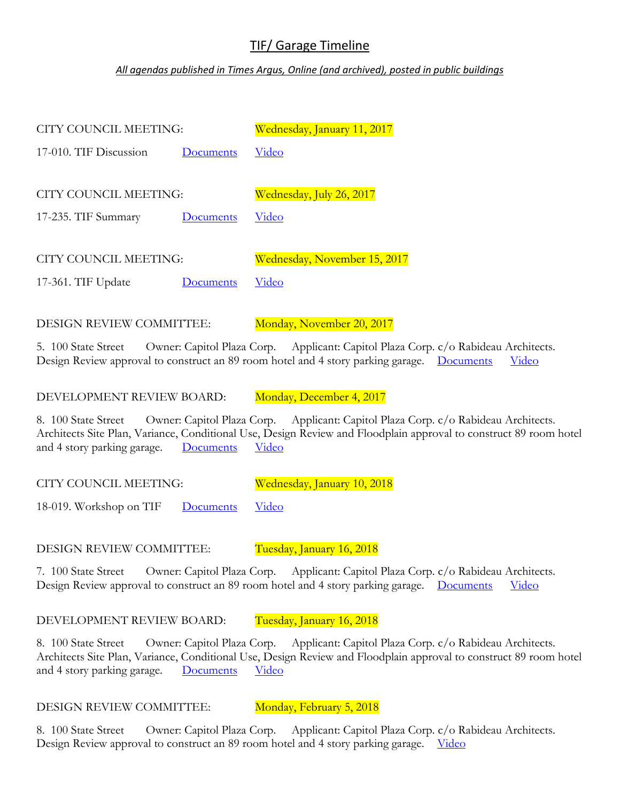## TIF/ Garage Timeline

## *All agendas published in Times Argus, Online (and archived), posted in public buildings*

| CITY COUNCIL MEETING:  |           | <u> Wednesday, January 11, 2017</u> |
|------------------------|-----------|-------------------------------------|
| 17-010. TIF Discussion | Documents | Video                               |
|                        |           |                                     |
| CITY COUNCIL MEETING:  |           | Wednesday, July 26, 2017            |
| 17-235. TIF Summary    | Documents | Video                               |
|                        |           |                                     |
| CITY COUNCIL MEETING:  |           | Wednesday, November 15, 2017        |
| 17-361. TIF Update     | Documents | Video                               |
|                        |           |                                     |

DESIGN REVIEW COMMITTEE: Monday, November 20, 2017

5. 100 State Street Owner: Capitol Plaza Corp. Applicant: Capitol Plaza Corp. c/o Rabideau Architects. Design Review approval to construct an 89 room hotel and 4 story parking garage. [Documents](https://montpelier-vt.granicus.com/MetaViewer.php?view_id=2&clip_id=1793&meta_id=72302) [Video](http://montpelier-vt.granicus.com/MediaPlayer.php?view_id=2&clip_id=1790)

DEVELOPMENT REVIEW BOARD: Monday, December 4, 2017

8. 100 State Street Owner: Capitol Plaza Corp. Applicant: Capitol Plaza Corp. c/o Rabideau Architects. Architects Site Plan, Variance, Conditional Use, Design Review and Floodplain approval to construct 89 room hotel and 4 story parking garage. <u>[Documents](https://montpelier-vt.granicus.com/MetaViewer.php?view_id=2&clip_id=1793&meta_id=72302)</u> <u>[Video](http://montpelier-vt.granicus.com/MediaPlayer.php?view_id=2&clip_id=1793)</u>

CITY COUNCIL MEETING: Wednesday, January 10, 2018

18-019. Workshop on TIF [Documents](https://montpelier-vt.granicus.com/MetaViewer.php?view_id=2&clip_id=1805&meta_id=72881) [Video](http://montpelier-vt.granicus.com/MediaPlayer.php?view_id=2&clip_id=1805)

DESIGN REVIEW COMMITTEE: Tuesday, January 16, 2018

7. 100 State Street Owner: Capitol Plaza Corp. Applicant: Capitol Plaza Corp. c/o Rabideau Architects. Design Review approval to construct an 89 room hotel and 4 story parking garage. [Documents](https://montpelier-vt.granicus.com/MetaViewer.php?view_id=2&clip_id=1793&meta_id=72302) [Video](http://montpelier-vt.granicus.com/MediaPlayer.php?view_id=2&clip_id=1807)

DEVELOPMENT REVIEW BOARD: Tuesday, January 16, 2018

8. 100 State Street Owner: Capitol Plaza Corp. Applicant: Capitol Plaza Corp. c/o Rabideau Architects. Architects Site Plan, Variance, Conditional Use, Design Review and Floodplain approval to construct 89 room hotel and 4 story parking garage. [Documents](https://montpelier-vt.granicus.com/MetaViewer.php?view_id=2&clip_id=1793&meta_id=72302) [Video](http://montpelier-vt.granicus.com/MediaPlayer.php?view_id=2&clip_id=1808)

DESIGN REVIEW COMMITTEE: Monday, February 5, 2018

8. 100 State Street Owner: Capitol Plaza Corp. Applicant: Capitol Plaza Corp. c/o Rabideau Architects. Design Review approval to construct an 89 room hotel and 4 story parking garage. [Video](http://montpelier-vt.granicus.com/MediaPlayer.php?view_id=2&clip_id=1816)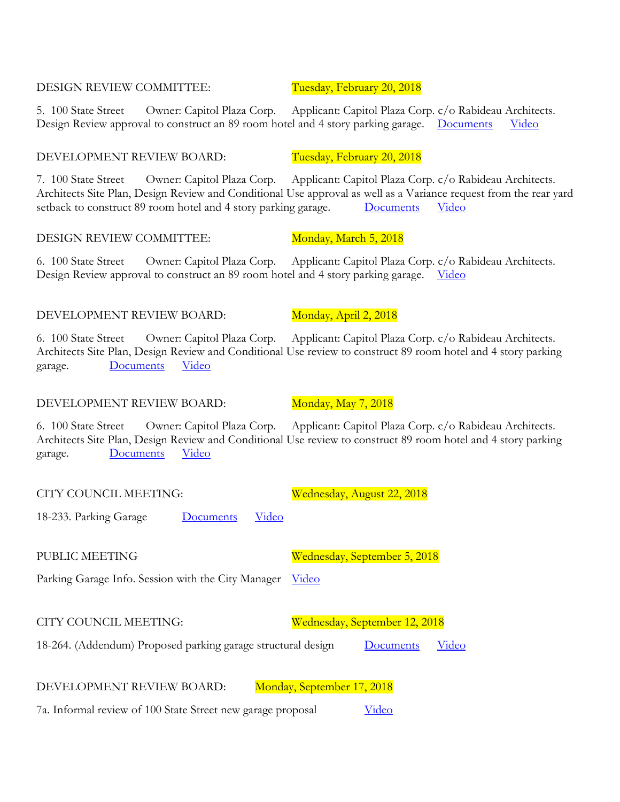DESIGN REVIEW COMMITTEE: Tuesday, February 20, 2018

5. 100 State Street Owner: Capitol Plaza Corp. Applicant: Capitol Plaza Corp. c/o Rabideau Architects. Design Review approval to construct an 89 room hotel and 4 story parking garage. [Documents](https://montpelier-vt.granicus.com/MetaViewer.php?view_id=2&clip_id=1822&meta_id=73501) [Video](http://montpelier-vt.granicus.com/MediaPlayer.php?view_id=2&clip_id=1821)

7. 100 State Street Owner: Capitol Plaza Corp. Applicant: Capitol Plaza Corp. c/o Rabideau Architects. Architects Site Plan, Design Review and Conditional Use approval as well as a Variance request from the rear yard setback to construct 89 room hotel and 4 story parking garage. [Documents](https://montpelier-vt.granicus.com/MetaViewer.php?view_id=2&clip_id=1822&meta_id=73501) [Video](http://montpelier-vt.granicus.com/MediaPlayer.php?view_id=2&clip_id=1822)

6. 100 State Street Owner: Capitol Plaza Corp. Applicant: Capitol Plaza Corp. c/o Rabideau Architects. Design Review approval to construct an 89 room hotel and 4 story parking garage. [Video](http://montpelier-vt.granicus.com/MediaPlayer.php?view_id=2&clip_id=1825)

6. 100 State Street Owner: Capitol Plaza Corp. Applicant: Capitol Plaza Corp. c/o Rabideau Architects. Architects Site Plan, Design Review and Conditional Use review to construct 89 room hotel and 4 story parking garage. [Documents](https://montpelier-vt.granicus.com/MetaViewer.php?view_id=2&clip_id=1835&meta_id=74113) [Video](http://montpelier-vt.granicus.com/MediaPlayer.php?view_id=2&clip_id=1835)

6. 100 State Street Owner: Capitol Plaza Corp. Applicant: Capitol Plaza Corp. c/o Rabideau Architects. Architects Site Plan, Design Review and Conditional Use review to construct 89 room hotel and 4 story parking garage. [Documents](https://montpelier-vt.granicus.com/MetaViewer.php?view_id=2&clip_id=1851&meta_id=74600) [Video](http://montpelier-vt.granicus.com/MediaPlayer.php?view_id=2&clip_id=1851)

CITY COUNCIL MEETING: Wednesday, August 22, 2018

DEVELOPMENT REVIEW BOARD: Tuesday, February 20, 2018

DESIGN REVIEW COMMITTEE: Monday, March 5, 2018

18-233. Parking Garage [Documents](https://montpelier-vt.granicus.com/MetaViewer.php?view_id=2&clip_id=1880&meta_id=75351) [Video](http://montpelier-vt.granicus.com/MediaPlayer.php?view_id=2&clip_id=1880)

PUBLIC MEETING Wednesday, September 5, 2018

Parking Garage Info. Session with the City Manager [Video](https://www.montpelier-vt.org/1064/VIDEO---Public-Information-Meeting-9518)

CITY COUNCIL MEETING: Wednesday, September 12, 2018

18-264. (Addendum) Proposed parking garage structural design [Documents](https://montpelier-vt.granicus.com/MetaViewer.php?view_id=2&clip_id=1885&meta_id=75584) [Video](http://montpelier-vt.granicus.com/MediaPlayer.php?view_id=2&clip_id=1885)

DEVELOPMENT REVIEW BOARD: Monday, September 17, 2018

7a. Informal review of 100 State Street new garage proposal [Video](http://montpelier-vt.granicus.com/MediaPlayer.php?view_id=2&clip_id=1888)

## DEVELOPMENT REVIEW BOARD: Monday, April 2, 2018

DEVELOPMENT REVIEW BOARD: Monday, May 7, 2018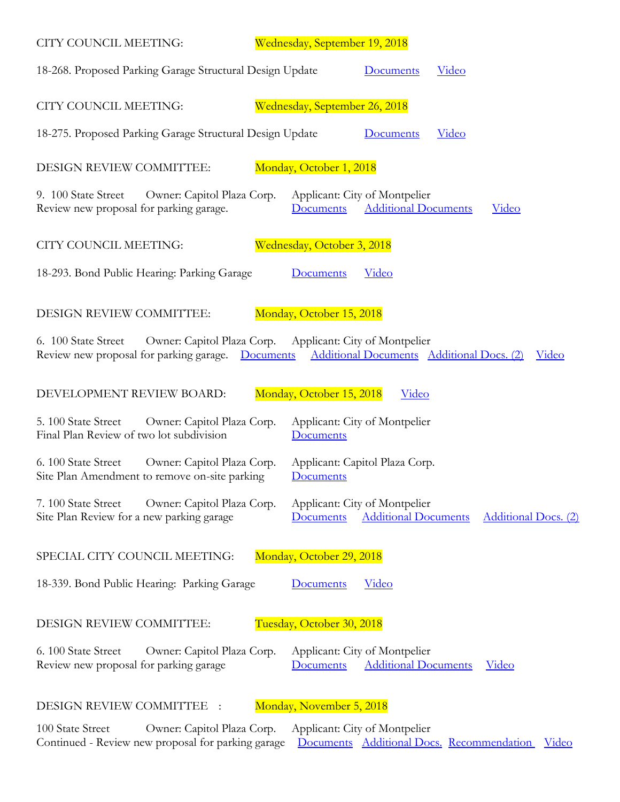| CITY COUNCIL MEETING:                                                                              | Wednesday, September 19, 2018                                                                                         |  |  |
|----------------------------------------------------------------------------------------------------|-----------------------------------------------------------------------------------------------------------------------|--|--|
| 18-268. Proposed Parking Garage Structural Design Update                                           | Documents<br><u>Video</u>                                                                                             |  |  |
| CITY COUNCIL MEETING:                                                                              | Wednesday, September 26, 2018                                                                                         |  |  |
| 18-275. Proposed Parking Garage Structural Design Update                                           | <u>Video</u><br><b>Documents</b>                                                                                      |  |  |
| DESIGN REVIEW COMMITTEE:                                                                           | Monday, October 1, 2018                                                                                               |  |  |
| 9. 100 State Street<br>Owner: Capitol Plaza Corp.<br>Review new proposal for parking garage.       | Applicant: City of Montpelier<br><b>Additional Documents</b><br><u>Video</u><br>Documents                             |  |  |
| CITY COUNCIL MEETING:                                                                              | Wednesday, October 3, 2018                                                                                            |  |  |
| 18-293. Bond Public Hearing: Parking Garage                                                        | <b>Documents</b><br><u>Video</u>                                                                                      |  |  |
| Monday, October 15, 2018<br>DESIGN REVIEW COMMITTEE:                                               |                                                                                                                       |  |  |
| 6. 100 State Street<br>Review new proposal for parking garage. Documents                           | Owner: Capitol Plaza Corp. Applicant: City of Montpelier<br>Additional Documents Additional Docs. (2)<br><u>Video</u> |  |  |
| DEVELOPMENT REVIEW BOARD:                                                                          | Monday, October 15, 2018<br>Video                                                                                     |  |  |
| Owner: Capitol Plaza Corp.<br>5. 100 State Street<br>Final Plan Review of two lot subdivision      | Applicant: City of Montpelier<br><b>Documents</b>                                                                     |  |  |
| 6. 100 State Street<br>Owner: Capitol Plaza Corp.<br>Site Plan Amendment to remove on-site parking | Applicant: Capitol Plaza Corp.<br><b>Documents</b>                                                                    |  |  |
| Owner: Capitol Plaza Corp.<br>7.100 State Street<br>Site Plan Review for a new parking garage      | Applicant: City of Montpelier<br><b>Additional Documents</b><br><b>Additional Docs.</b> (2)<br>Documents              |  |  |
| Monday, October 29, 2018<br>SPECIAL CITY COUNCIL MEETING:                                          |                                                                                                                       |  |  |
| 18-339. Bond Public Hearing: Parking Garage                                                        | <b>Documents</b><br><u>Video</u>                                                                                      |  |  |
| Tuesday, October 30, 2018<br><b>DESIGN REVIEW COMMITTEE:</b>                                       |                                                                                                                       |  |  |
| 6. 100 State Street<br>Owner: Capitol Plaza Corp.<br>Review new proposal for parking garage        | Applicant: City of Montpelier<br><b>Additional Documents</b><br><u>Video</u><br><b>Documents</b>                      |  |  |
| DESIGN REVIEW COMMITTEE                                                                            | Monday, November 5, 2018                                                                                              |  |  |

100 State Street Owner: Capitol Plaza Corp. Applicant: City of Montpelier Continued - Review new proposal for parking garage [Documents](https://www.montpelier-vt.org/DocumentCenter/View/5747/New-and-Revised-Garage-Site-Plan-Application-Materials-from-10-30-18-DRC-Hearing?bidId=) [Additional Docs.](https://www.montpelier-vt.org/DocumentCenter/View/5757/DRC-Presentation-Materials-from-Applicant?bidId=) [Recommendation](https://www.montpelier-vt.org/DocumentCenter/View/5758/DRC-Recommendations-Form?bidId=) [Video](http://montpelier-vt.granicus.com/MediaPlayer.php?view_id=2&clip_id=1913)